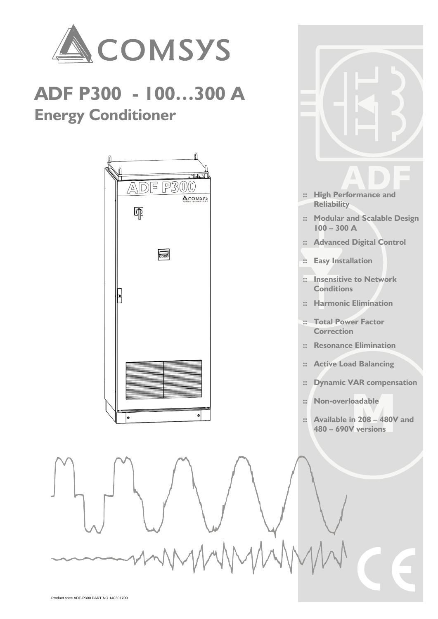

loadable<br>in 208 – 480V and<br>V versions **:: Available in 208 – 480V and 480 – 690V versions**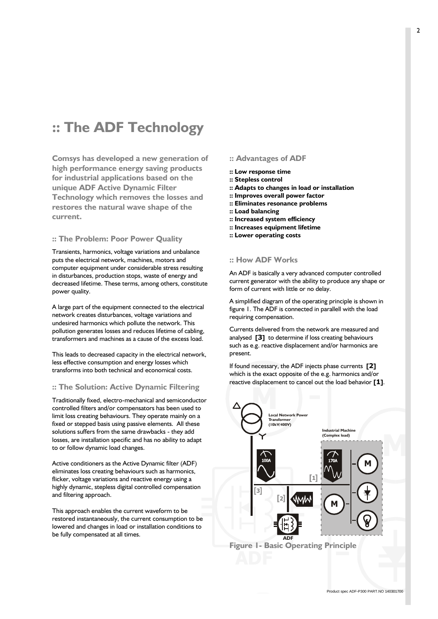# **:: The ADF Technology**

**Comsys has developed a new generation of high performance energy saving products for industrial applications based on the unique ADF Active Dynamic Filter Technology which removes the losses and restores the natural wave shape of the current.**

# **:: The Problem: Poor Power Quality**

Transients, harmonics, voltage variations and unbalance puts the electrical network, machines, motors and computer equipment under considerable stress resulting in disturbances, production stops, waste of energy and decreased lifetime. These terms, among others, constitute power quality.

A large part of the equipment connected to the electrical network creates disturbances, voltage variations and undesired harmonics which pollute the network. This pollution generates losses and reduces lifetime of cabling, transformers and machines as a cause of the excess load.

This leads to decreased capacity in the electrical network, less effective consumption and energy losses which transforms into both technical and economical costs.

#### **:: The Solution: Active Dynamic Filtering**

Traditionally fixed, electro-mechanical and semiconductor controlled filters and/or compensators has been used to limit loss creating behaviours. They operate mainly on a fixed or stepped basis using passive elements. All these solutions suffers from the same drawbacks - they add losses, are installation specific and has no ability to adapt to or follow dynamic load changes.

Active conditioners as the Active Dynamic filter (ADF) eliminates loss creating behaviours such as harmonics, flicker, voltage variations and reactive energy using a highly dynamic, stepless digital controlled compensation and filtering approach.

This approach enables the current waveform to be restored instantaneously, the current consumption to be lowered and changes in load or installation conditions to be fully compensated at all times.

# **:: Advantages of ADF**

- **:: Low response time**
- **:: Stepless control**
- **:: Adapts to changes in load or installation**
- **:: Improves overall power factor**
- **:: Eliminates resonance problems** 
	- **:: Load balancing**
	- **:: Increased system efficiency**
	- **:: Increases equipment lifetime**
	- **:: Lower operating costs**

#### **:: How ADF Works**

An ADF is basically a very advanced computer controlled current generator with the ability to produce any shape or form of current with little or no delay.

A simplified diagram of the operating principle is shown in figure 1. The ADF is connected in parallell with the load requiring compensation.

Currents delivered from the network are measured and analysed **[3]** to determine if loss creating behaviours such as e.g. reactive displacement and/or harmonics are present.

If found necessary, the ADF injects phase currents **[2]** which is the exact opposite of the e.g. harmonics and/or reactive displacement to cancel out the load behavior **[1]**.



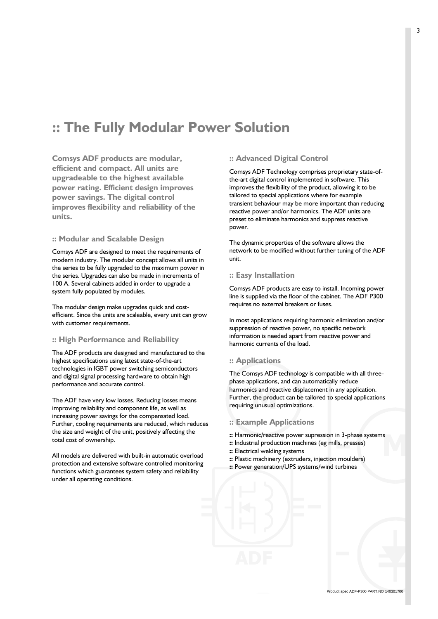# **:: The Fully Modular Power Solution**

**Comsys ADF products are modular, efficient and compact. All units are upgradeable to the highest available power rating. Efficient design improves power savings. The digital control improves flexibility and reliability of the units.**

# **:: Modular and Scalable Design**

Comsys ADF are designed to meet the requirements of modern industry. The modular concept allows all units in the series to be fully upgraded to the maximum power in the series. Upgrades can also be made in increments of 100 A. Several cabinets added in order to upgrade a system fully populated by modules.

The modular design make upgrades quick and costefficient. Since the units are scaleable, every unit can grow with customer requirements.

### **:: High Performance and Reliability**

The ADF products are designed and manufactured to the highest specifications using latest state-of-the-art technologies in IGBT power switching semiconductors and digital signal processing hardware to obtain high performance and accurate control.

The ADF have very low losses. Reducing losses means improving reliability and component life, as well as increasing power savings for the compensated load. Further, cooling requirements are reduced, which reduces the size and weight of the unit, positively affecting the total cost of ownership.

All models are delivered with built-in automatic overload protection and extensive software controlled monitoring functions which guarantees system safety and reliability under all operating conditions.

# **:: Advanced Digital Control**

Comsys ADF Technology comprises proprietary state-ofthe-art digital control implemented in software. This improves the flexibility of the product, allowing it to be tailored to special applications where for example transient behaviour may be more important than reducing reactive power and/or harmonics. The ADF units are preset to eliminate harmonics and suppress reactive power.

The dynamic properties of the software allows the network to be modified without further tuning of the ADF unit.

### **:: Easy Installation**

Comsys ADF products are easy to install. Incoming power line is supplied via the floor of the cabinet. The ADF P300 requires no external breakers or fuses.

In most applications requiring harmonic elimination and/or suppression of reactive power, no specific network information is needed apart from reactive power and harmonic currents of the load.

### **:: Applications**

ics and reactive displacement in any application.<br>
the product can be tailored to special applications<br>
g unusual optimizations. The Comsys ADF technology is compatible with all threephase applications, and can automatically reduce harmonics and reactive displacement in any application. Further, the product can be tailored to special applications requiring unusual optimizations.

# **:: Example Applications**

- $\overline{\phantom{a}}$ **::** Harmonic/reactive power supression in 3-phase systems
- **::** Industrial production machines (eg mills, presses)
- **::** Electrical welding systems
- **::** Plastic machinery (extruders, injection moulders)
- **::** Power generation/UPS systems/wind turbines